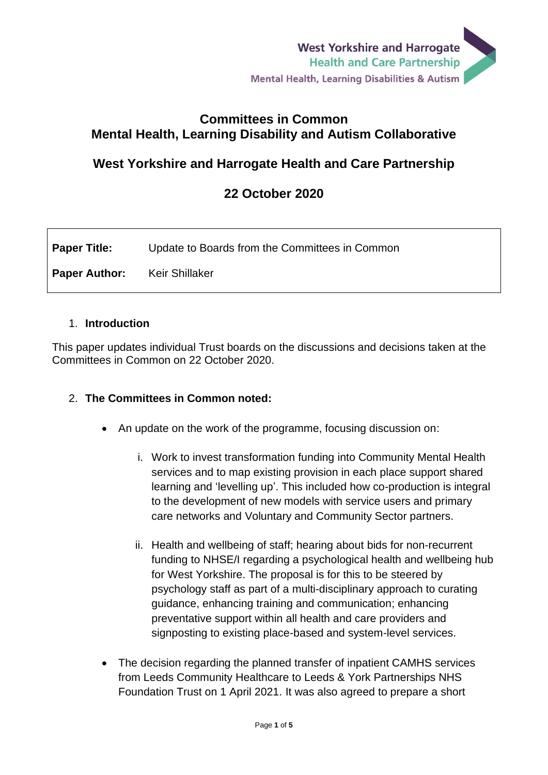### **Committees in Common Mental Health, Learning Disability and Autism Collaborative**

# **West Yorkshire and Harrogate Health and Care Partnership**

## **22 October 2020**

| <b>Paper Title:</b>                 | Update to Boards from the Committees in Common |
|-------------------------------------|------------------------------------------------|
| <b>Paper Author:</b> Keir Shillaker |                                                |

#### 1. **Introduction**

This paper updates individual Trust boards on the discussions and decisions taken at the Committees in Common on 22 October 2020.

#### 2. **The Committees in Common noted:**

- An update on the work of the programme, focusing discussion on:
	- i. Work to invest transformation funding into Community Mental Health services and to map existing provision in each place support shared learning and 'levelling up'. This included how co-production is integral to the development of new models with service users and primary care networks and Voluntary and Community Sector partners.
	- ii. Health and wellbeing of staff; hearing about bids for non-recurrent funding to NHSE/I regarding a psychological health and wellbeing hub for West Yorkshire. The proposal is for this to be steered by psychology staff as part of a multi-disciplinary approach to curating guidance, enhancing training and communication; enhancing preventative support within all health and care providers and signposting to existing place-based and system-level services.
- The decision regarding the planned transfer of inpatient CAMHS services from Leeds Community Healthcare to Leeds & York Partnerships NHS Foundation Trust on 1 April 2021. It was also agreed to prepare a short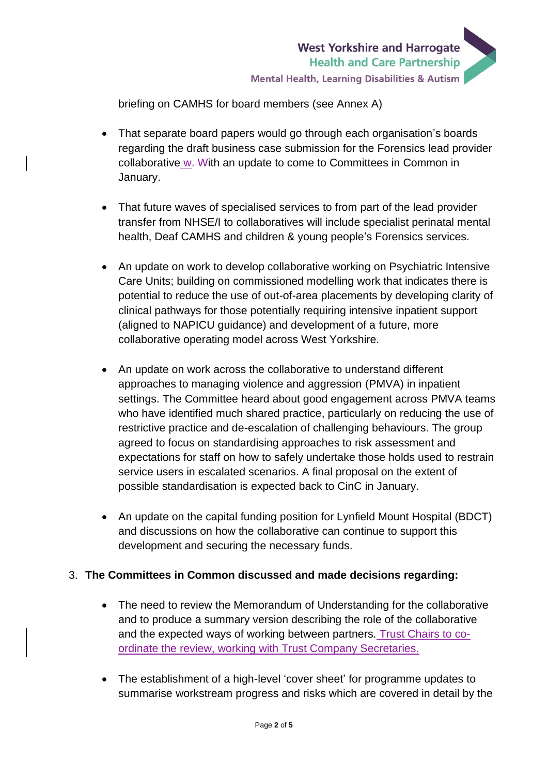

briefing on CAMHS for board members (see Annex A)

- That separate board papers would go through each organisation's boards regarding the draft business case submission for the Forensics lead provider collaborative w. With an update to come to Committees in Common in January.
- That future waves of specialised services to from part of the lead provider transfer from NHSE/I to collaboratives will include specialist perinatal mental health, Deaf CAMHS and children & young people's Forensics services.
- An update on work to develop collaborative working on Psychiatric Intensive Care Units; building on commissioned modelling work that indicates there is potential to reduce the use of out-of-area placements by developing clarity of clinical pathways for those potentially requiring intensive inpatient support (aligned to NAPICU guidance) and development of a future, more collaborative operating model across West Yorkshire.
- An update on work across the collaborative to understand different approaches to managing violence and aggression (PMVA) in inpatient settings. The Committee heard about good engagement across PMVA teams who have identified much shared practice, particularly on reducing the use of restrictive practice and de-escalation of challenging behaviours. The group agreed to focus on standardising approaches to risk assessment and expectations for staff on how to safely undertake those holds used to restrain service users in escalated scenarios. A final proposal on the extent of possible standardisation is expected back to CinC in January.
- An update on the capital funding position for Lynfield Mount Hospital (BDCT) and discussions on how the collaborative can continue to support this development and securing the necessary funds.

### 3. **The Committees in Common discussed and made decisions regarding:**

- The need to review the Memorandum of Understanding for the collaborative and to produce a summary version describing the role of the collaborative and the expected ways of working between partners. Trust Chairs to coordinate the review, working with Trust Company Secretaries.
- The establishment of a high-level 'cover sheet' for programme updates to summarise workstream progress and risks which are covered in detail by the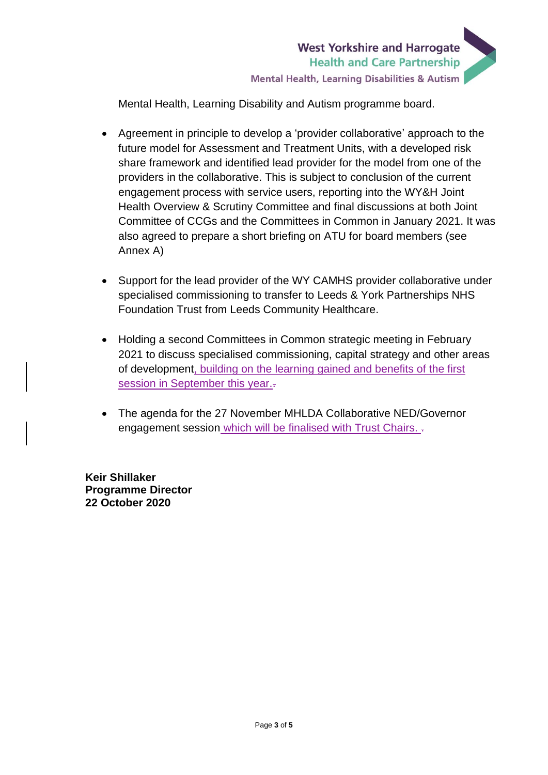

Mental Health, Learning Disability and Autism programme board.

- Agreement in principle to develop a 'provider collaborative' approach to the future model for Assessment and Treatment Units, with a developed risk share framework and identified lead provider for the model from one of the providers in the collaborative. This is subject to conclusion of the current engagement process with service users, reporting into the WY&H Joint Health Overview & Scrutiny Committee and final discussions at both Joint Committee of CCGs and the Committees in Common in January 2021. It was also agreed to prepare a short briefing on ATU for board members (see Annex A)
- Support for the lead provider of the WY CAMHS provider collaborative under specialised commissioning to transfer to Leeds & York Partnerships NHS Foundation Trust from Leeds Community Healthcare.
- Holding a second Committees in Common strategic meeting in February 2021 to discuss specialised commissioning, capital strategy and other areas of development, building on the learning gained and benefits of the first session in September this year...
- The agenda for the 27 November MHLDA Collaborative NED/Governor engagement session which will be finalised with Trust Chairs. .

**Keir Shillaker Programme Director 22 October 2020**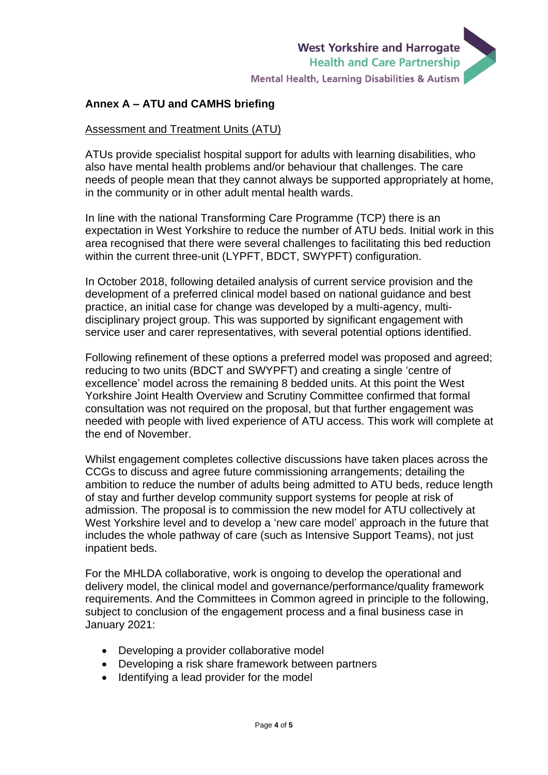#### **Annex A – ATU and CAMHS briefing**

#### Assessment and Treatment Units (ATU)

ATUs provide specialist hospital support for adults with learning disabilities, who also have mental health problems and/or behaviour that challenges. The care needs of people mean that they cannot always be supported appropriately at home, in the community or in other adult mental health wards.

In line with the national Transforming Care Programme (TCP) there is an expectation in West Yorkshire to reduce the number of ATU beds. Initial work in this area recognised that there were several challenges to facilitating this bed reduction within the current three-unit (LYPFT, BDCT, SWYPFT) configuration.

In October 2018, following detailed analysis of current service provision and the development of a preferred clinical model based on national guidance and best practice, an initial case for change was developed by a multi-agency, multidisciplinary project group. This was supported by significant engagement with service user and carer representatives, with several potential options identified.

Following refinement of these options a preferred model was proposed and agreed; reducing to two units (BDCT and SWYPFT) and creating a single 'centre of excellence' model across the remaining 8 bedded units. At this point the West Yorkshire Joint Health Overview and Scrutiny Committee confirmed that formal consultation was not required on the proposal, but that further engagement was needed with people with lived experience of ATU access. This work will complete at the end of November.

Whilst engagement completes collective discussions have taken places across the CCGs to discuss and agree future commissioning arrangements; detailing the ambition to reduce the number of adults being admitted to ATU beds, reduce length of stay and further develop community support systems for people at risk of admission. The proposal is to commission the new model for ATU collectively at West Yorkshire level and to develop a 'new care model' approach in the future that includes the whole pathway of care (such as Intensive Support Teams), not just inpatient beds.

For the MHLDA collaborative, work is ongoing to develop the operational and delivery model, the clinical model and governance/performance/quality framework requirements. And the Committees in Common agreed in principle to the following, subject to conclusion of the engagement process and a final business case in January 2021:

- Developing a provider collaborative model
- Developing a risk share framework between partners
- Identifying a lead provider for the model